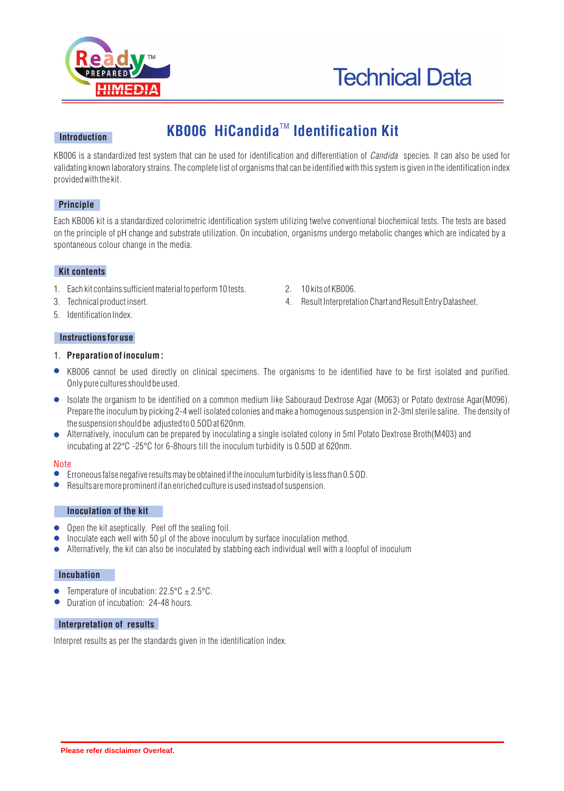



### **Introduction**

# **KB006 HiCandida<sup>™</sup> Identification Kit**

KB006 is a standardized test system that can be used for identification and differentiation of *Candida* species. It can also be used for validating known laboratory strains. The complete list of organisms that can be identified with this system is given in the identification index provided with the kit.

# **Principle**

Each KB006 kit is a standardized colorimetric identification system utilizing twelve conventional biochemical tests. The tests are based on the principle of pH change and substrate utilization. On incubation, organisms undergo metabolic changes which are indicated by a spontaneous colour change in the media.

#### **Kit contents**

- 1. Each kit contains sufficient material to perform 10 tests. 2. 10 kits of KB006.
- 
- 5. Identification Index.

#### **Instructions for use**

## 1. **Preparation of inoculum :**

- KB006 cannot be used directly on clinical specimens. The organisms to be identified have to be first isolated and purified. Only pure cultures should be used.
- Isolate the organism to be identified on a common medium like Sabouraud Dextrose Agar (M063) or Potato dextrose Agar(M096). Prepare the inoculum by picking 2-4 well isolated colonies and make a homogenous suspension in 2-3ml sterile saline. The density of the suspension should be adjusted to 0.5OD at 620nm.
- Alternatively, inoculum can be prepared by inoculating a single isolated colony in 5ml Potato Dextrose Broth(M403) and incubating at 22°C -25°C for 6-8hours till the inoculum turbidity is 0.50D at 620nm.

#### Note

- Erroneous false negative results may be obtained if the inoculum turbidity is less than 0.5 OD.
- Results are more prominent if an enriched culture is used instead of suspension.

#### **Inoculation of the kit**

- $\bullet$  Open the kit aseptically. Peel off the sealing foil.
- Inoculate each well with 50 µl of the above inoculum by surface inoculation method.
- Alternatively, the kit can also be inoculated by stabbing each individual well with a loopful of inoculum  $\bullet$

#### **Incubation**

- Temperature of incubation:  $22.5^{\circ}\text{C} \pm 2.5^{\circ}\text{C}$ .
- **•** Duration of incubation: 24-48 hours.

### **Interpretation of results**

Interpret results as per the standards given in the identification index.

- 
- 3. Technical product insert. 4. Result Interpretation Chart and Result Entry Datasheet.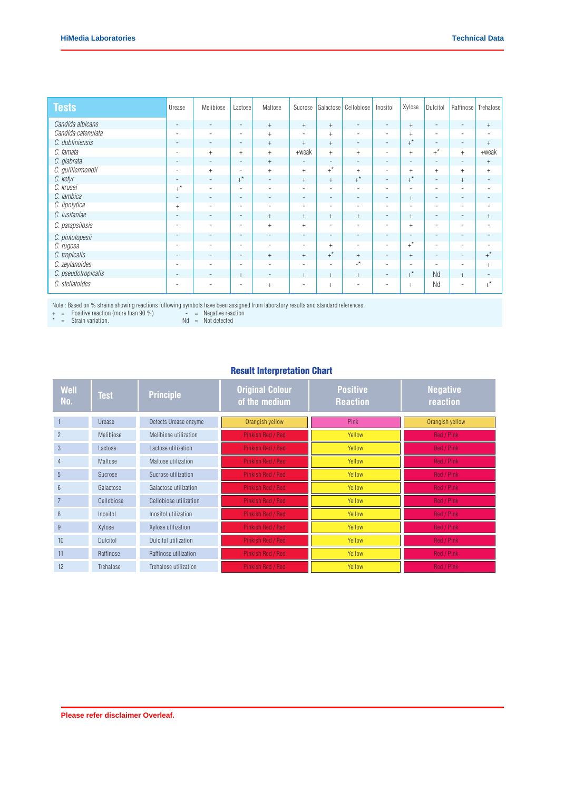| <b>Tests</b>        | Urease                   | Melibiose                        | Lactose                  | Maltose                  | Sucrose                  | Galactose                | Cellobiose               | Inositol                 | Xylose                   | <b>Dulcitol</b>          | Raffinose                | Trehalose                |
|---------------------|--------------------------|----------------------------------|--------------------------|--------------------------|--------------------------|--------------------------|--------------------------|--------------------------|--------------------------|--------------------------|--------------------------|--------------------------|
| Candida albicans    | $\overline{\phantom{a}}$ | $\overline{\phantom{a}}$         | $\overline{\phantom{a}}$ | $^+$                     | $^{+}$                   | $^{+}$                   | $\sim$                   | $\overline{\phantom{a}}$ | $^{+}$                   | $\overline{\phantom{a}}$ | $\overline{\phantom{a}}$ | $+$                      |
| Candida catenulata  | $\sim$                   | $\sim$                           | $\equiv$                 | $+$                      | $\overline{a}$           | $+$                      | ٠                        | $\overline{\phantom{a}}$ | $+$                      | $\overline{\phantom{a}}$ | $\overline{\phantom{a}}$ | $\overline{\phantom{a}}$ |
| C. dubliniensis     | $\overline{\phantom{a}}$ | $\overline{\phantom{a}}$         | $\overline{\phantom{a}}$ | $+$                      | $^{+}$                   | $+$                      | $\sim$                   | $\overline{\phantom{a}}$ | $+^*$                    | $\overline{\phantom{a}}$ | $\overline{\phantom{a}}$ | $+$                      |
| C. famata           | $\overline{\phantom{a}}$ | $+$                              | $+$                      | $+$                      | $+$ weak                 | $+$                      | $+$                      | $\overline{\phantom{a}}$ | $+$                      | $+^*$                    | $+$                      | $+$ weak                 |
| C. glabrata         | $\overline{\phantom{a}}$ | $\overline{\phantom{a}}$         | $\overline{\phantom{a}}$ | $+$                      | $\overline{\phantom{a}}$ | $\overline{\phantom{a}}$ | $\sim$                   | $\overline{\phantom{a}}$ | $\overline{\phantom{a}}$ | $\overline{\phantom{a}}$ | $\sim$                   | $+$                      |
| C. guilliermondii   | $\overline{\phantom{a}}$ | $\begin{array}{c} + \end{array}$ | $\overline{\phantom{a}}$ | $+$                      | $^{+}$                   | $+^*$                    | $+$                      | $\overline{\phantom{a}}$ | $+$                      | $^{+}$                   | $+$                      | $+$                      |
| C. ketyr            | $\sim$                   | $\overline{\phantom{a}}$         | $+^*$                    | $\overline{\phantom{a}}$ | $^{+}$                   | $+$                      | $+^*$                    | $\overline{\phantom{a}}$ | $+$ *                    | $\overline{\phantom{a}}$ | $+$                      | $\overline{\phantom{a}}$ |
| C. krusei           | $+^*$                    | $\overline{\phantom{a}}$         | $\overline{\phantom{0}}$ | $\overline{\phantom{a}}$ | ۰                        | $\overline{\phantom{a}}$ | ٠                        | $\overline{\phantom{a}}$ | $\overline{\phantom{a}}$ | $\overline{\phantom{a}}$ | $\overline{\phantom{0}}$ | $\overline{\phantom{a}}$ |
| C. lambica          | $\overline{\phantom{a}}$ | $\overline{\phantom{a}}$         | $\overline{\phantom{a}}$ | $\overline{\phantom{a}}$ | $\overline{\phantom{a}}$ | $\overline{\phantom{a}}$ | $\overline{\phantom{a}}$ | $\overline{\phantom{a}}$ | $+$                      | $\overline{\phantom{a}}$ | $\overline{\phantom{a}}$ | $\overline{\phantom{a}}$ |
| C. lipolytica       | $+$                      | $\overline{\phantom{a}}$         | ۰                        | $\overline{\phantom{a}}$ | $\overline{a}$           | $\overline{\phantom{a}}$ | ٠                        | $\overline{\phantom{a}}$ | $\overline{\phantom{a}}$ | $\overline{\phantom{a}}$ | $\overline{\phantom{a}}$ | $\overline{\phantom{a}}$ |
| C. Iusitaniae       | $\overline{\phantom{a}}$ | $\overline{\phantom{a}}$         | $\overline{\phantom{a}}$ | $+$                      | $+$                      | $+$                      | $+$                      | $\overline{\phantom{a}}$ | $^{+}$                   | $\overline{\phantom{a}}$ | $\overline{\phantom{a}}$ | $+$                      |
| C. parapsilosis     | ٠                        | $\overline{\phantom{a}}$         | $\overline{\phantom{a}}$ | $+$                      | $^{+}$                   | $\overline{\phantom{a}}$ | $\overline{\phantom{a}}$ | $\overline{\phantom{a}}$ | $+$                      | $\overline{\phantom{a}}$ | $\overline{\phantom{a}}$ | $\overline{\phantom{a}}$ |
| C. pintolopesii     | $\overline{\phantom{a}}$ | $\overline{\phantom{a}}$         | $\overline{\phantom{a}}$ | $\overline{\phantom{a}}$ | $\overline{\phantom{a}}$ | $\overline{\phantom{a}}$ | $\overline{\phantom{a}}$ | $\overline{\phantom{a}}$ | $\overline{\phantom{a}}$ | $\overline{\phantom{a}}$ | $\overline{\phantom{a}}$ | $\overline{\phantom{a}}$ |
| C. rugosa           | $\sim$                   | $\overline{\phantom{a}}$         | $\equiv$                 | $\overline{\phantom{a}}$ | $\overline{\phantom{a}}$ | $+$                      | $\sim$                   | $\sim$                   | $+^*$                    | $\overline{\phantom{a}}$ | $\overline{\phantom{a}}$ | $\overline{\phantom{a}}$ |
| C. tropicalis       | $\overline{\phantom{a}}$ | $\overline{\phantom{a}}$         | $\overline{\phantom{a}}$ | $+$                      | $+$                      | $+^*$                    | $+$                      | $\overline{\phantom{a}}$ | $+$                      | $\overline{\phantom{a}}$ | $\overline{\phantom{a}}$ | $+$ *                    |
| C. zeylanoides      | ٠                        | $\overline{\phantom{a}}$         | ٠                        | $\overline{\phantom{a}}$ | $\overline{\phantom{a}}$ | $\overline{\phantom{a}}$ | $\mathbb{L}^{\star}$     | $\sim$                   | ٠                        | $\overline{\phantom{a}}$ | $\overline{\phantom{a}}$ | $+$                      |
| C. pseudotropicalis | $\overline{\phantom{a}}$ | $\overline{\phantom{a}}$         | $+$                      | $\overline{\phantom{a}}$ | $^{+}$                   | $+$                      | $+$                      | $\overline{\phantom{a}}$ | $+^*$                    | Nd                       | $+$                      | $\overline{\phantom{m}}$ |
| C. stellatoides     | ۰                        |                                  | $\overline{\phantom{0}}$ | $+$                      |                          | $+$                      |                          | ٠                        | $+$                      | Nd                       | $\overline{\phantom{0}}$ | $+$ *                    |

Note : Based on % strains showing reactions following symbols have been assigned from laboratory results and standard references.

+ = Positive reaction (more than 90 %) - = Negative reaction

 $* =$  Strain variation.  $\blacksquare$  Nd  $=$  Not detected

# Result Interpretation Chart

| <b>Well</b><br>No. | <b>Test</b>     | <b>Principle</b>            | <b>Original Colour</b><br>of the medium | <b>Positive</b><br><b>Reaction</b> | <b>Negative</b><br>reaction |  |
|--------------------|-----------------|-----------------------------|-----------------------------------------|------------------------------------|-----------------------------|--|
|                    | Urease          | Detects Urease enzyme       | Orangish yellow                         | Pink                               | Orangish yellow             |  |
| $\overline{2}$     | Melibiose       | Melibiose utilization       | Pinkish Red / Red                       | Yellow                             | <b>Red / Pink</b>           |  |
| 3                  | Lactose         | Lactose utilization         | Pinkish Red / Red                       | Yellow                             | <b>Red / Pink</b>           |  |
| $\overline{4}$     | Maltose         | Maltose utilization         | Pinkish Red / Red                       | Yellow                             | Red / Pink                  |  |
| 5                  | Sucrose         | Sucrose utilization         | Pinkish Red / Red                       | Yellow                             | Red / Pink                  |  |
| 6                  | Galactose       | Galactose utilization       | Pinkish Red / Red                       | Yellow                             | Red / Pink                  |  |
| $\overline{7}$     | Cellobiose      | Cellobiose utilization      | Pinkish Red / Red                       | Yellow                             | Red / Pink                  |  |
| 8                  | Inositol        | Inositol utilization        | Pinkish Red / Red                       | Yellow                             | Red / Pink                  |  |
| 9                  | Xylose          | Xylose utilization          | Pinkish Red / Red                       | Yellow                             | Red / Pink                  |  |
| 10                 | <b>Dulcitol</b> | <b>Dulcitol utilization</b> | Pinkish Red / Red                       | Yellow                             | <b>Red / Pink</b>           |  |
| 11                 | Raffinose       | Raffinose utilization       | <b>Pinkish Red / Red</b>                | Yellow                             | Red / Pink                  |  |
| 12                 | Trehalose       | Trehalose utilization       | <b>Pinkish Red / Red</b>                | Yellow                             | <b>Red / Pink</b>           |  |